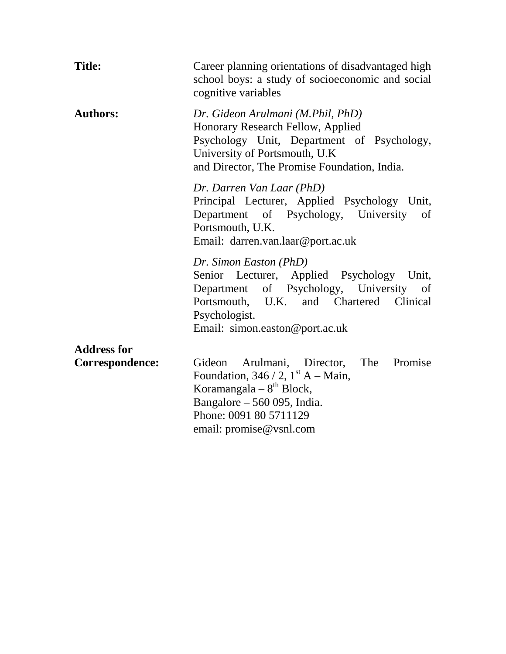| <b>Title:</b>                         | Career planning orientations of disadvantaged high<br>school boys: a study of socioeconomic and social<br>cognitive variables                                                                                |  |  |  |  |
|---------------------------------------|--------------------------------------------------------------------------------------------------------------------------------------------------------------------------------------------------------------|--|--|--|--|
| <b>Authors:</b>                       | Dr. Gideon Arulmani (M.Phil, PhD)<br>Honorary Research Fellow, Applied<br>Psychology Unit, Department of Psychology,<br>University of Portsmouth, U.K.<br>and Director, The Promise Foundation, India.       |  |  |  |  |
|                                       | Dr. Darren Van Laar (PhD)<br>Principal Lecturer, Applied Psychology Unit,<br>Department of Psychology, University of<br>Portsmouth, U.K.<br>Email: darren.van.laar@port.ac.uk                                |  |  |  |  |
|                                       | Dr. Simon Easton (PhD)<br>Senior Lecturer, Applied Psychology Unit,<br>Department of Psychology, University of<br>Portsmouth, U.K. and Chartered Clinical<br>Psychologist.<br>Email: simon.easton@port.ac.uk |  |  |  |  |
| <b>Address for</b><br>Correspondence: | Arulmani, Director, The Promise<br>Gideon<br>Foundation, $346 / 2$ , $1st A - Main$ ,<br>Koramangala – $8th$ Block,<br>Bangalore $-560$ 095, India.<br>Phone: 0091 80 5711129<br>email: promise@vsnl.com     |  |  |  |  |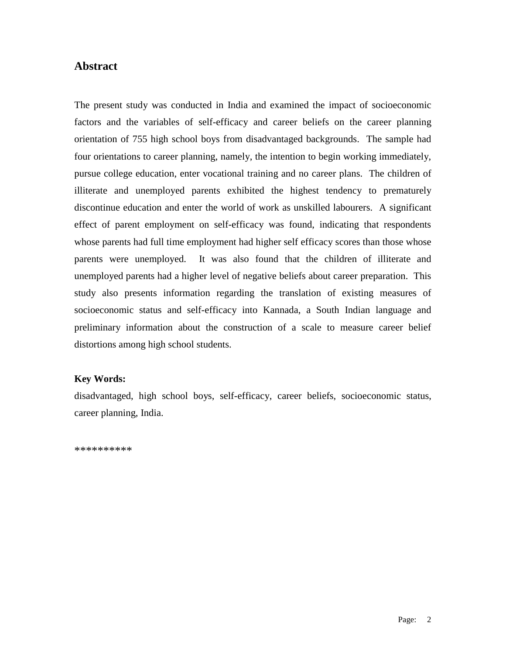# **Abstract**

The present study was conducted in India and examined the impact of socioeconomic factors and the variables of self-efficacy and career beliefs on the career planning orientation of 755 high school boys from disadvantaged backgrounds. The sample had four orientations to career planning, namely, the intention to begin working immediately, pursue college education, enter vocational training and no career plans. The children of illiterate and unemployed parents exhibited the highest tendency to prematurely discontinue education and enter the world of work as unskilled labourers. A significant effect of parent employment on self-efficacy was found, indicating that respondents whose parents had full time employment had higher self efficacy scores than those whose parents were unemployed. It was also found that the children of illiterate and unemployed parents had a higher level of negative beliefs about career preparation. This study also presents information regarding the translation of existing measures of socioeconomic status and self-efficacy into Kannada, a South Indian language and preliminary information about the construction of a scale to measure career belief distortions among high school students.

## **Key Words:**

disadvantaged, high school boys, self-efficacy, career beliefs, socioeconomic status, career planning, India.

\*\*\*\*\*\*\*\*\*\*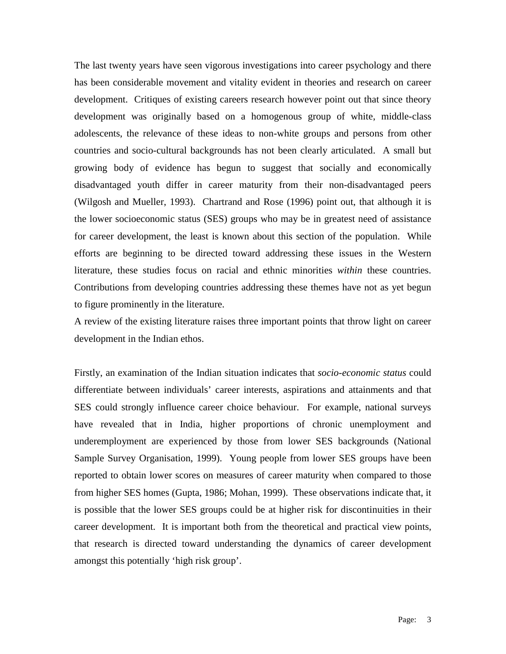The last twenty years have seen vigorous investigations into career psychology and there has been considerable movement and vitality evident in theories and research on career development. Critiques of existing careers research however point out that since theory development was originally based on a homogenous group of white, middle-class adolescents, the relevance of these ideas to non-white groups and persons from other countries and socio-cultural backgrounds has not been clearly articulated. A small but growing body of evidence has begun to suggest that socially and economically disadvantaged youth differ in career maturity from their non-disadvantaged peers (Wilgosh and Mueller, 1993). Chartrand and Rose (1996) point out, that although it is the lower socioeconomic status (SES) groups who may be in greatest need of assistance for career development, the least is known about this section of the population. While efforts are beginning to be directed toward addressing these issues in the Western literature, these studies focus on racial and ethnic minorities *within* these countries. Contributions from developing countries addressing these themes have not as yet begun to figure prominently in the literature.

A review of the existing literature raises three important points that throw light on career development in the Indian ethos.

Firstly, an examination of the Indian situation indicates that *socio-economic status* could differentiate between individuals' career interests, aspirations and attainments and that SES could strongly influence career choice behaviour. For example, national surveys have revealed that in India, higher proportions of chronic unemployment and underemployment are experienced by those from lower SES backgrounds (National Sample Survey Organisation, 1999). Young people from lower SES groups have been reported to obtain lower scores on measures of career maturity when compared to those from higher SES homes (Gupta, 1986; Mohan, 1999). These observations indicate that, it is possible that the lower SES groups could be at higher risk for discontinuities in their career development. It is important both from the theoretical and practical view points, that research is directed toward understanding the dynamics of career development amongst this potentially 'high risk group'.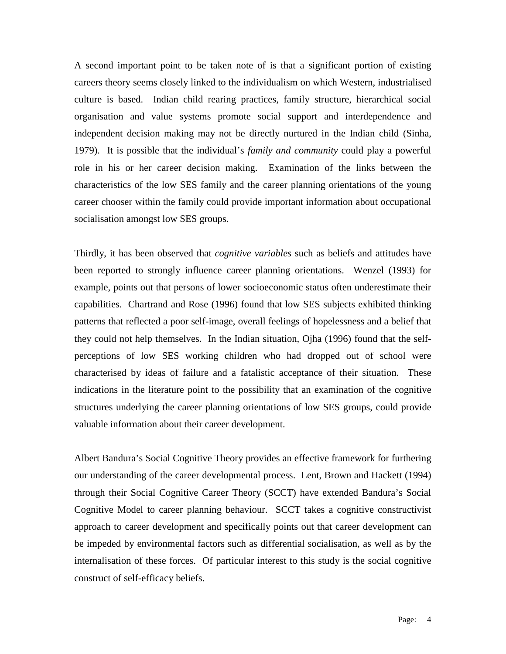A second important point to be taken note of is that a significant portion of existing careers theory seems closely linked to the individualism on which Western, industrialised culture is based. Indian child rearing practices, family structure, hierarchical social organisation and value systems promote social support and interdependence and independent decision making may not be directly nurtured in the Indian child (Sinha, 1979). It is possible that the individual's *family and community* could play a powerful role in his or her career decision making. Examination of the links between the characteristics of the low SES family and the career planning orientations of the young career chooser within the family could provide important information about occupational socialisation amongst low SES groups.

Thirdly, it has been observed that *cognitive variables* such as beliefs and attitudes have been reported to strongly influence career planning orientations. Wenzel (1993) for example, points out that persons of lower socioeconomic status often underestimate their capabilities. Chartrand and Rose (1996) found that low SES subjects exhibited thinking patterns that reflected a poor self-image, overall feelings of hopelessness and a belief that they could not help themselves. In the Indian situation, Ojha (1996) found that the selfperceptions of low SES working children who had dropped out of school were characterised by ideas of failure and a fatalistic acceptance of their situation. These indications in the literature point to the possibility that an examination of the cognitive structures underlying the career planning orientations of low SES groups, could provide valuable information about their career development.

Albert Bandura's Social Cognitive Theory provides an effective framework for furthering our understanding of the career developmental process. Lent, Brown and Hackett (1994) through their Social Cognitive Career Theory (SCCT) have extended Bandura's Social Cognitive Model to career planning behaviour. SCCT takes a cognitive constructivist approach to career development and specifically points out that career development can be impeded by environmental factors such as differential socialisation, as well as by the internalisation of these forces. Of particular interest to this study is the social cognitive construct of self-efficacy beliefs.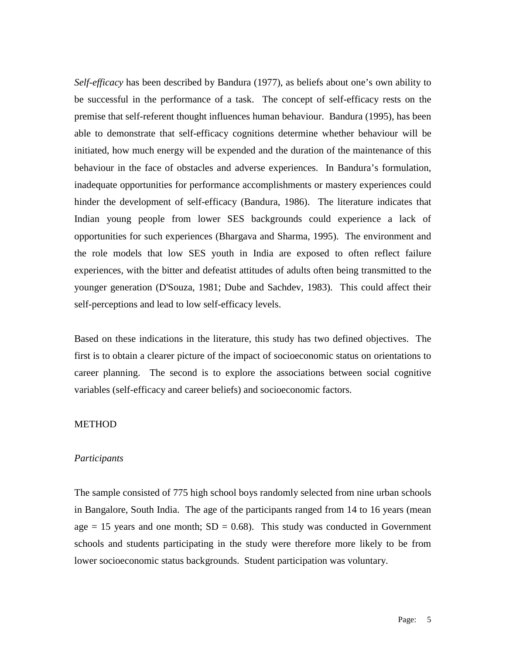*Self-efficacy* has been described by Bandura (1977), as beliefs about one's own ability to be successful in the performance of a task. The concept of self-efficacy rests on the premise that self-referent thought influences human behaviour. Bandura (1995), has been able to demonstrate that self-efficacy cognitions determine whether behaviour will be initiated, how much energy will be expended and the duration of the maintenance of this behaviour in the face of obstacles and adverse experiences. In Bandura's formulation, inadequate opportunities for performance accomplishments or mastery experiences could hinder the development of self-efficacy (Bandura, 1986). The literature indicates that Indian young people from lower SES backgrounds could experience a lack of opportunities for such experiences (Bhargava and Sharma, 1995). The environment and the role models that low SES youth in India are exposed to often reflect failure experiences, with the bitter and defeatist attitudes of adults often being transmitted to the younger generation (D'Souza, 1981; Dube and Sachdev, 1983). This could affect their self-perceptions and lead to low self-efficacy levels.

Based on these indications in the literature, this study has two defined objectives. The first is to obtain a clearer picture of the impact of socioeconomic status on orientations to career planning. The second is to explore the associations between social cognitive variables (self-efficacy and career beliefs) and socioeconomic factors.

# **METHOD**

## *Participants*

The sample consisted of 775 high school boys randomly selected from nine urban schools in Bangalore, South India. The age of the participants ranged from 14 to 16 years (mean age  $= 15$  years and one month;  $SD = 0.68$ ). This study was conducted in Government schools and students participating in the study were therefore more likely to be from lower socioeconomic status backgrounds. Student participation was voluntary.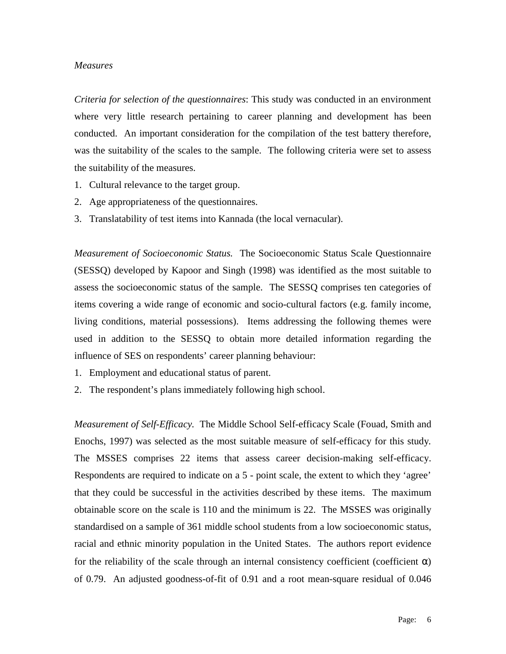## *Measures*

*Criteria for selection of the questionnaires*: This study was conducted in an environment where very little research pertaining to career planning and development has been conducted. An important consideration for the compilation of the test battery therefore, was the suitability of the scales to the sample. The following criteria were set to assess the suitability of the measures.

- 1. Cultural relevance to the target group.
- 2. Age appropriateness of the questionnaires.
- 3. Translatability of test items into Kannada (the local vernacular).

*Measurement of Socioeconomic Status.* The Socioeconomic Status Scale Questionnaire (SESSQ) developed by Kapoor and Singh (1998) was identified as the most suitable to assess the socioeconomic status of the sample. The SESSQ comprises ten categories of items covering a wide range of economic and socio-cultural factors (e.g. family income, living conditions, material possessions). Items addressing the following themes were used in addition to the SESSQ to obtain more detailed information regarding the influence of SES on respondents' career planning behaviour:

- 1. Employment and educational status of parent.
- 2. The respondent's plans immediately following high school.

*Measurement of Self-Efficacy.* The Middle School Self-efficacy Scale (Fouad, Smith and Enochs, 1997) was selected as the most suitable measure of self-efficacy for this study*.*  The MSSES comprises 22 items that assess career decision-making self-efficacy. Respondents are required to indicate on a 5 - point scale, the extent to which they 'agree' that they could be successful in the activities described by these items. The maximum obtainable score on the scale is 110 and the minimum is 22. The MSSES was originally standardised on a sample of 361 middle school students from a low socioeconomic status, racial and ethnic minority population in the United States. The authors report evidence for the reliability of the scale through an internal consistency coefficient (coefficient  $\alpha$ ) of 0.79. An adjusted goodness-of-fit of 0.91 and a root mean-square residual of 0.046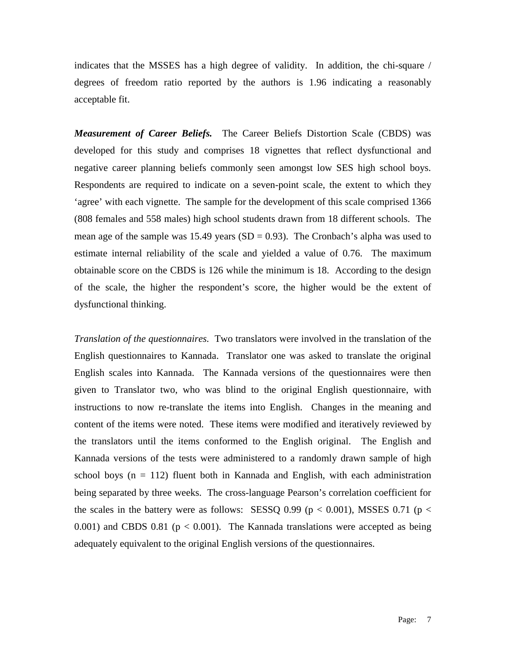indicates that the MSSES has a high degree of validity. In addition, the chi-square / degrees of freedom ratio reported by the authors is 1.96 indicating a reasonably acceptable fit.

*Measurement of Career Beliefs.* The Career Beliefs Distortion Scale (CBDS) was developed for this study and comprises 18 vignettes that reflect dysfunctional and negative career planning beliefs commonly seen amongst low SES high school boys. Respondents are required to indicate on a seven-point scale, the extent to which they 'agree' with each vignette. The sample for the development of this scale comprised 1366 (808 females and 558 males) high school students drawn from 18 different schools. The mean age of the sample was 15.49 years  $(SD = 0.93)$ . The Cronbach's alpha was used to estimate internal reliability of the scale and yielded a value of 0.76. The maximum obtainable score on the CBDS is 126 while the minimum is 18. According to the design of the scale, the higher the respondent's score, the higher would be the extent of dysfunctional thinking.

*Translation of the questionnaires.* Two translators were involved in the translation of the English questionnaires to Kannada. Translator one was asked to translate the original English scales into Kannada. The Kannada versions of the questionnaires were then given to Translator two, who was blind to the original English questionnaire, with instructions to now re-translate the items into English. Changes in the meaning and content of the items were noted. These items were modified and iteratively reviewed by the translators until the items conformed to the English original. The English and Kannada versions of the tests were administered to a randomly drawn sample of high school boys ( $n = 112$ ) fluent both in Kannada and English, with each administration being separated by three weeks. The cross-language Pearson's correlation coefficient for the scales in the battery were as follows: SESSQ 0.99 ( $p < 0.001$ ), MSSES 0.71 ( $p <$ 0.001) and CBDS 0.81 ( $p < 0.001$ ). The Kannada translations were accepted as being adequately equivalent to the original English versions of the questionnaires.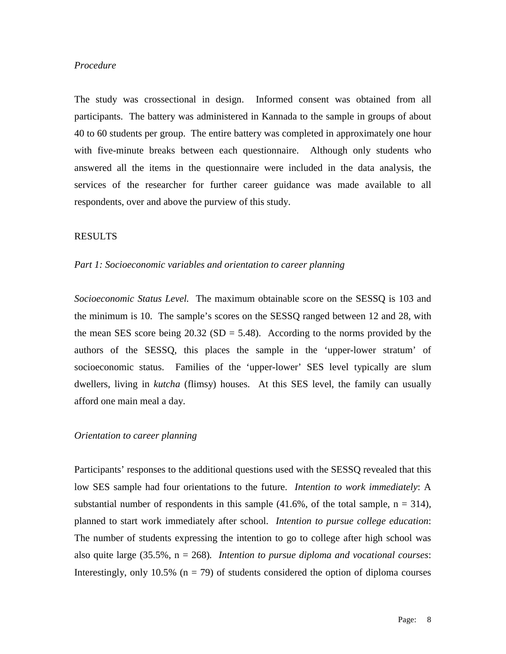# *Procedure*

The study was crossectional in design. Informed consent was obtained from all participants. The battery was administered in Kannada to the sample in groups of about 40 to 60 students per group. The entire battery was completed in approximately one hour with five-minute breaks between each questionnaire. Although only students who answered all the items in the questionnaire were included in the data analysis, the services of the researcher for further career guidance was made available to all respondents, over and above the purview of this study.

## RESULTS

## *Part 1: Socioeconomic variables and orientation to career planning*

*Socioeconomic Status Level.* The maximum obtainable score on the SESSQ is 103 and the minimum is 10. The sample's scores on the SESSQ ranged between 12 and 28, with the mean SES score being  $20.32$  (SD = 5.48). According to the norms provided by the authors of the SESSQ, this places the sample in the 'upper-lower stratum' of socioeconomic status. Families of the 'upper-lower' SES level typically are slum dwellers, living in *kutcha* (flimsy) houses. At this SES level, the family can usually afford one main meal a day.

# *Orientation to career planning*

Participants' responses to the additional questions used with the SESSQ revealed that this low SES sample had four orientations to the future. *Intention to work immediately*: A substantial number of respondents in this sample  $(41.6\%)$ , of the total sample,  $n = 314$ ), planned to start work immediately after school. *Intention to pursue college education*: The number of students expressing the intention to go to college after high school was also quite large (35.5%, n = 268)*. Intention to pursue diploma and vocational courses*: Interestingly, only 10.5% ( $n = 79$ ) of students considered the option of diploma courses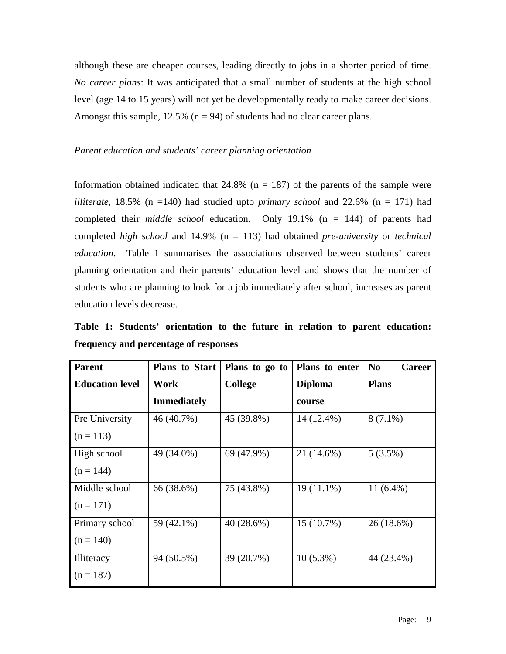although these are cheaper courses, leading directly to jobs in a shorter period of time. *No career plans*: It was anticipated that a small number of students at the high school level (age 14 to 15 years) will not yet be developmentally ready to make career decisions. Amongst this sample,  $12.5\%$  (n = 94) of students had no clear career plans.

# *Parent education and students' career planning orientation*

Information obtained indicated that  $24.8\%$  (n = 187) of the parents of the sample were *illiterate*, 18.5% ( $n = 140$ ) had studied upto *primary school* and 22.6% ( $n = 171$ ) had completed their *middle school* education. Only 19.1% (n = 144) of parents had completed *high school* and 14.9% (n = 113) had obtained *pre-university* or *technical education*. Table 1 summarises the associations observed between students' career planning orientation and their parents' education level and shows that the number of students who are planning to look for a job immediately after school, increases as parent education levels decrease.

**Table 1: Students' orientation to the future in relation to parent education: frequency and percentage of responses** 

| <b>Parent</b>          | <b>Plans to Start</b> | Plans to go to<br>Plans to enter |                | N <sub>0</sub><br><b>Career</b> |  |
|------------------------|-----------------------|----------------------------------|----------------|---------------------------------|--|
| <b>Education level</b> | Work                  | <b>College</b>                   | <b>Diploma</b> | <b>Plans</b>                    |  |
|                        | <b>Immediately</b>    |                                  | course         |                                 |  |
| Pre University         | 46 (40.7%)            | 45 (39.8%)                       | 14 (12.4%)     | $8(7.1\%)$                      |  |
| $(n = 113)$            |                       |                                  |                |                                 |  |
| High school            | 49 (34.0%)            | 69 (47.9%)                       | 21 (14.6%)     | $5(3.5\%)$                      |  |
| $(n = 144)$            |                       |                                  |                |                                 |  |
| Middle school          | 66 (38.6%)            | 75 (43.8%)                       | $19(11.1\%)$   | $11(6.4\%)$                     |  |
| $(n = 171)$            |                       |                                  |                |                                 |  |
| Primary school         | 59 (42.1%)            | 40(28.6%)                        | $15(10.7\%)$   | 26 (18.6%)                      |  |
| $(n = 140)$            |                       |                                  |                |                                 |  |
| Illiteracy             | 94 (50.5%)            | 39 (20.7%)                       | $10(5.3\%)$    | 44 (23.4%)                      |  |
| $(n = 187)$            |                       |                                  |                |                                 |  |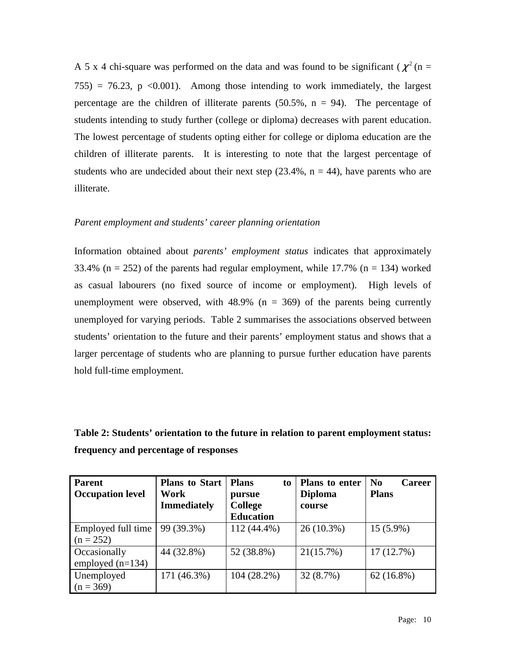A 5 x 4 chi-square was performed on the data and was found to be significant ( $\chi^2$  (n =  $755$ ) = 76.23, p <0.001). Among those intending to work immediately, the largest percentage are the children of illiterate parents  $(50.5\% , n = 94)$ . The percentage of students intending to study further (college or diploma) decreases with parent education. The lowest percentage of students opting either for college or diploma education are the children of illiterate parents. It is interesting to note that the largest percentage of students who are undecided about their next step  $(23.4\%, n = 44)$ , have parents who are illiterate.

# *Parent employment and students' career planning orientation*

Information obtained about *parents' employment status* indicates that approximately 33.4% ( $n = 252$ ) of the parents had regular employment, while 17.7% ( $n = 134$ ) worked as casual labourers (no fixed source of income or employment). High levels of unemployment were observed, with  $48.9\%$  (n = 369) of the parents being currently unemployed for varying periods. Table 2 summarises the associations observed between students' orientation to the future and their parents' employment status and shows that a larger percentage of students who are planning to pursue further education have parents hold full-time employment.

# **Table 2: Students' orientation to the future in relation to parent employment status: frequency and percentage of responses**

| <b>Parent</b><br><b>Occupation level</b> | <b>Plans to Start</b><br>Work<br><b>Immediately</b> | <b>Plans</b><br>to<br>pursue<br><b>College</b><br><b>Education</b> | Plans to enter<br><b>Diploma</b><br>course | N <sub>0</sub><br><b>Career</b><br><b>Plans</b> |
|------------------------------------------|-----------------------------------------------------|--------------------------------------------------------------------|--------------------------------------------|-------------------------------------------------|
| Employed full time<br>$(n = 252)$        | 99 (39.3%)                                          | $112(44.4\%)$                                                      | $26(10.3\%)$                               | $15(5.9\%)$                                     |
| Occasionally<br>employed $(n=134)$       | 44 (32.8%)                                          | 52 (38.8%)                                                         | 21(15.7%)                                  | 17(12.7%)                                       |
| Unemployed<br>$(n = 369)$                | 171 (46.3%)                                         | $104(28.2\%)$                                                      | 32(8.7%)                                   | $62(16.8\%)$                                    |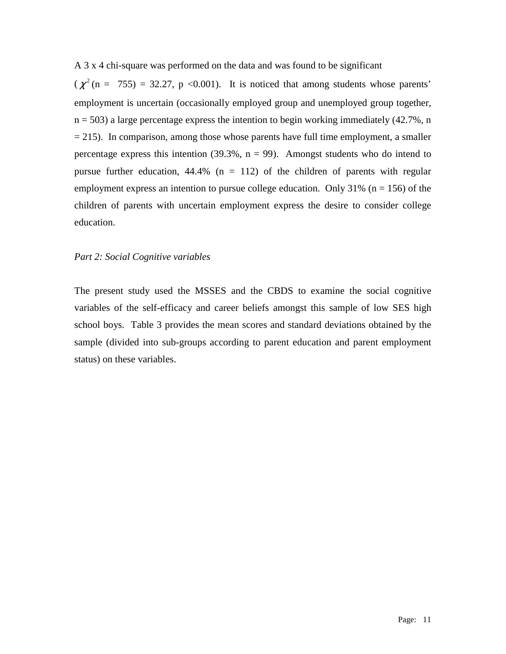A 3 x 4 chi-square was performed on the data and was found to be significant

 $(\chi^2$  (n = 755) = 32.27, p <0.001). It is noticed that among students whose parents' employment is uncertain (occasionally employed group and unemployed group together,  $n = 503$ ) a large percentage express the intention to begin working immediately (42.7%, n  $= 215$ ). In comparison, among those whose parents have full time employment, a smaller percentage express this intention  $(39.3\%, n = 99)$ . Amongst students who do intend to pursue further education,  $44.4\%$  (n = 112) of the children of parents with regular employment express an intention to pursue college education. Only  $31\%$  (n = 156) of the children of parents with uncertain employment express the desire to consider college education.

## *Part 2: Social Cognitive variables*

The present study used the MSSES and the CBDS to examine the social cognitive variables of the self-efficacy and career beliefs amongst this sample of low SES high school boys. Table 3 provides the mean scores and standard deviations obtained by the sample (divided into sub-groups according to parent education and parent employment status) on these variables.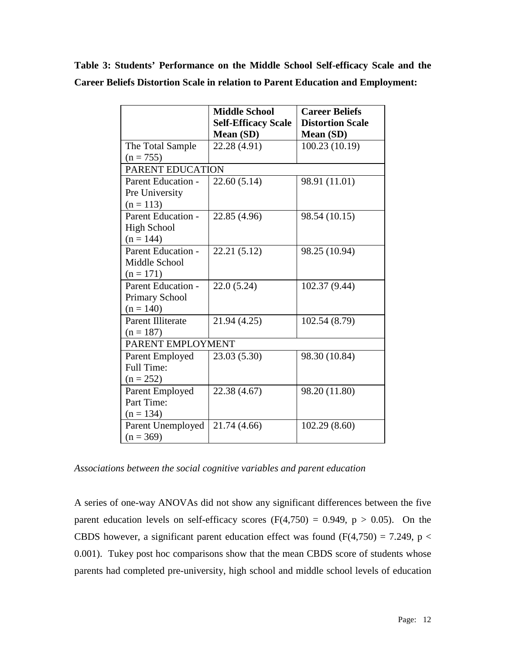|  | Table 3: Students' Performance on the Middle School Self-efficacy Scale and the        |  |  |  |  |
|--|----------------------------------------------------------------------------------------|--|--|--|--|
|  | <b>Career Beliefs Distortion Scale in relation to Parent Education and Employment:</b> |  |  |  |  |

|                           | <b>Middle School</b>       | <b>Career Beliefs</b>   |  |  |  |  |
|---------------------------|----------------------------|-------------------------|--|--|--|--|
|                           | <b>Self-Efficacy Scale</b> | <b>Distortion Scale</b> |  |  |  |  |
|                           | Mean (SD)                  | Mean (SD)               |  |  |  |  |
| The Total Sample          | 22.28 (4.91)               | 100.23 (10.19)          |  |  |  |  |
| $(n = 755)$               |                            |                         |  |  |  |  |
| PARENT EDUCATION          |                            |                         |  |  |  |  |
| <b>Parent Education -</b> | 22.60(5.14)                | 98.91 (11.01)           |  |  |  |  |
| Pre University            |                            |                         |  |  |  |  |
| $(n = 113)$               |                            |                         |  |  |  |  |
| Parent Education -        | 22.85 (4.96)               | 98.54 (10.15)           |  |  |  |  |
| High School               |                            |                         |  |  |  |  |
| $(n = 144)$               |                            |                         |  |  |  |  |
| <b>Parent Education -</b> | 22.21 (5.12)               | 98.25 (10.94)           |  |  |  |  |
| Middle School             |                            |                         |  |  |  |  |
| $(n = 171)$               |                            |                         |  |  |  |  |
| Parent Education -        | 22.0(5.24)                 | 102.37 (9.44)           |  |  |  |  |
| <b>Primary School</b>     |                            |                         |  |  |  |  |
| $(n = 140)$               |                            |                         |  |  |  |  |
| <b>Parent Illiterate</b>  | 21.94 (4.25)               | 102.54 (8.79)           |  |  |  |  |
| $(n = 187)$               |                            |                         |  |  |  |  |
| PARENT EMPLOYMENT         |                            |                         |  |  |  |  |
| Parent Employed           | 23.03 (5.30)               | 98.30 (10.84)           |  |  |  |  |
| <b>Full Time:</b>         |                            |                         |  |  |  |  |
| $(n = 252)$               |                            |                         |  |  |  |  |
| Parent Employed           | 22.38 (4.67)               | 98.20 (11.80)           |  |  |  |  |
| Part Time:                |                            |                         |  |  |  |  |
| $(n = 134)$               |                            |                         |  |  |  |  |
| Parent Unemployed         | 21.74 (4.66)               | 102.29(8.60)            |  |  |  |  |
| $(n = 369)$               |                            |                         |  |  |  |  |

*Associations between the social cognitive variables and parent education* 

A series of one-way ANOVAs did not show any significant differences between the five parent education levels on self-efficacy scores  $(F(4,750) = 0.949, p > 0.05)$ . On the CBDS however, a significant parent education effect was found  $(F(4,750) = 7.249, p <$ 0.001). Tukey post hoc comparisons show that the mean CBDS score of students whose parents had completed pre-university, high school and middle school levels of education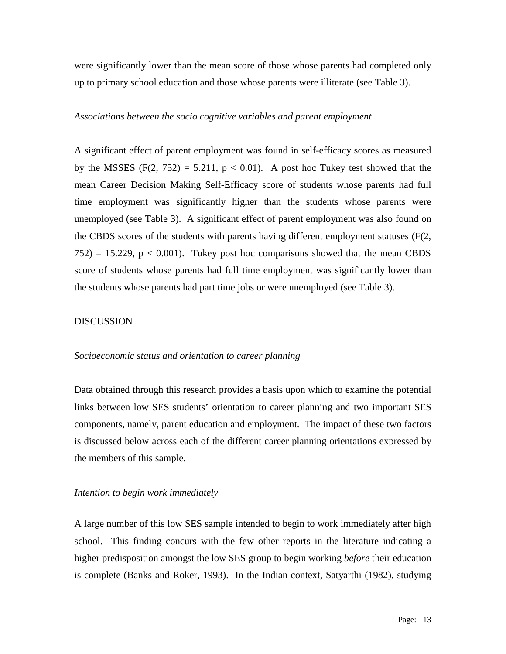were significantly lower than the mean score of those whose parents had completed only up to primary school education and those whose parents were illiterate (see Table 3).

#### *Associations between the socio cognitive variables and parent employment*

A significant effect of parent employment was found in self-efficacy scores as measured by the MSSES  $(F(2, 752) = 5.211, p < 0.01)$ . A post hoc Tukey test showed that the mean Career Decision Making Self-Efficacy score of students whose parents had full time employment was significantly higher than the students whose parents were unemployed (see Table 3). A significant effect of parent employment was also found on the CBDS scores of the students with parents having different employment statuses (F(2,  $752$ ) = 15.229, p < 0.001). Tukey post hoc comparisons showed that the mean CBDS score of students whose parents had full time employment was significantly lower than the students whose parents had part time jobs or were unemployed (see Table 3).

## DISCUSSION

## *Socioeconomic status and orientation to career planning*

Data obtained through this research provides a basis upon which to examine the potential links between low SES students' orientation to career planning and two important SES components, namely, parent education and employment. The impact of these two factors is discussed below across each of the different career planning orientations expressed by the members of this sample.

## *Intention to begin work immediately*

A large number of this low SES sample intended to begin to work immediately after high school. This finding concurs with the few other reports in the literature indicating a higher predisposition amongst the low SES group to begin working *before* their education is complete (Banks and Roker, 1993). In the Indian context, Satyarthi (1982), studying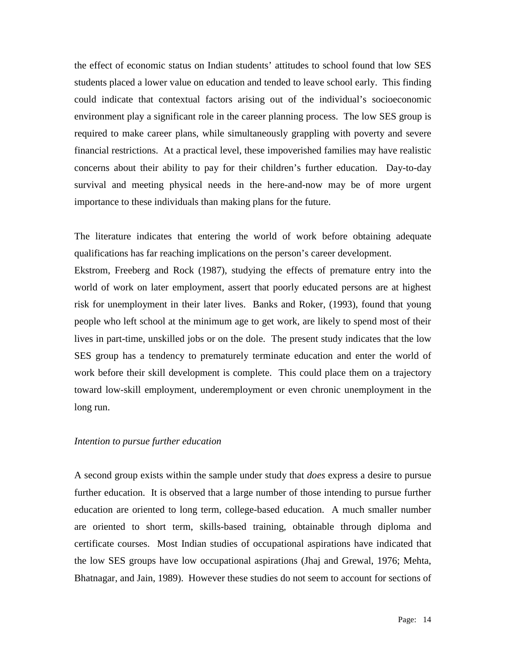the effect of economic status on Indian students' attitudes to school found that low SES students placed a lower value on education and tended to leave school early. This finding could indicate that contextual factors arising out of the individual's socioeconomic environment play a significant role in the career planning process. The low SES group is required to make career plans, while simultaneously grappling with poverty and severe financial restrictions. At a practical level, these impoverished families may have realistic concerns about their ability to pay for their children's further education. Day-to-day survival and meeting physical needs in the here-and-now may be of more urgent importance to these individuals than making plans for the future.

The literature indicates that entering the world of work before obtaining adequate qualifications has far reaching implications on the person's career development.

Ekstrom, Freeberg and Rock (1987), studying the effects of premature entry into the world of work on later employment, assert that poorly educated persons are at highest risk for unemployment in their later lives. Banks and Roker, (1993), found that young people who left school at the minimum age to get work, are likely to spend most of their lives in part-time, unskilled jobs or on the dole. The present study indicates that the low SES group has a tendency to prematurely terminate education and enter the world of work before their skill development is complete. This could place them on a trajectory toward low-skill employment, underemployment or even chronic unemployment in the long run.

## *Intention to pursue further education*

A second group exists within the sample under study that *does* express a desire to pursue further education. It is observed that a large number of those intending to pursue further education are oriented to long term, college-based education. A much smaller number are oriented to short term, skills-based training, obtainable through diploma and certificate courses. Most Indian studies of occupational aspirations have indicated that the low SES groups have low occupational aspirations (Jhaj and Grewal, 1976; Mehta, Bhatnagar, and Jain, 1989). However these studies do not seem to account for sections of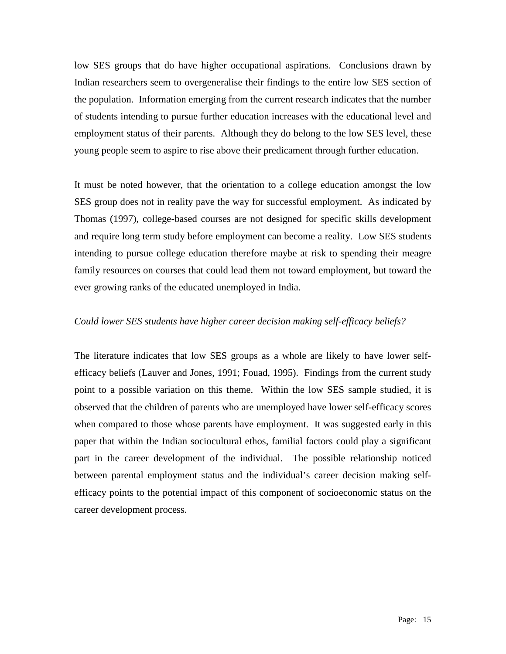low SES groups that do have higher occupational aspirations. Conclusions drawn by Indian researchers seem to overgeneralise their findings to the entire low SES section of the population. Information emerging from the current research indicates that the number of students intending to pursue further education increases with the educational level and employment status of their parents. Although they do belong to the low SES level, these young people seem to aspire to rise above their predicament through further education.

It must be noted however, that the orientation to a college education amongst the low SES group does not in reality pave the way for successful employment. As indicated by Thomas (1997), college-based courses are not designed for specific skills development and require long term study before employment can become a reality. Low SES students intending to pursue college education therefore maybe at risk to spending their meagre family resources on courses that could lead them not toward employment, but toward the ever growing ranks of the educated unemployed in India.

## *Could lower SES students have higher career decision making self-efficacy beliefs?*

The literature indicates that low SES groups as a whole are likely to have lower selfefficacy beliefs (Lauver and Jones, 1991; Fouad, 1995). Findings from the current study point to a possible variation on this theme. Within the low SES sample studied, it is observed that the children of parents who are unemployed have lower self-efficacy scores when compared to those whose parents have employment. It was suggested early in this paper that within the Indian sociocultural ethos, familial factors could play a significant part in the career development of the individual. The possible relationship noticed between parental employment status and the individual's career decision making selfefficacy points to the potential impact of this component of socioeconomic status on the career development process.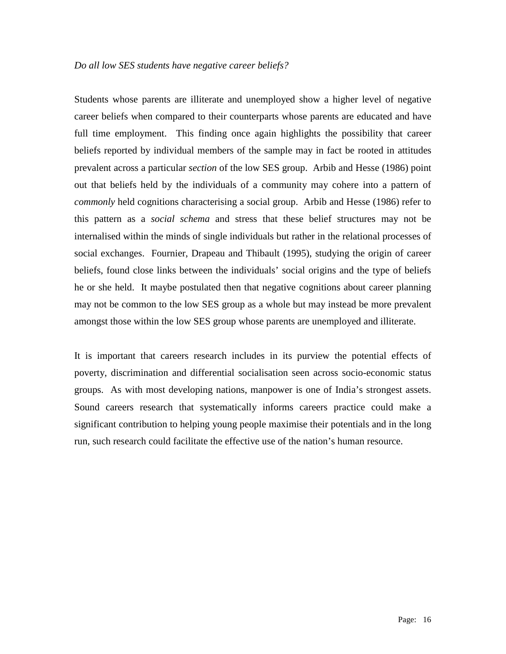Students whose parents are illiterate and unemployed show a higher level of negative career beliefs when compared to their counterparts whose parents are educated and have full time employment. This finding once again highlights the possibility that career beliefs reported by individual members of the sample may in fact be rooted in attitudes prevalent across a particular *section* of the low SES group. Arbib and Hesse (1986) point out that beliefs held by the individuals of a community may cohere into a pattern of *commonly* held cognitions characterising a social group. Arbib and Hesse (1986) refer to this pattern as a *social schema* and stress that these belief structures may not be internalised within the minds of single individuals but rather in the relational processes of social exchanges. Fournier, Drapeau and Thibault (1995), studying the origin of career beliefs, found close links between the individuals' social origins and the type of beliefs he or she held. It maybe postulated then that negative cognitions about career planning may not be common to the low SES group as a whole but may instead be more prevalent amongst those within the low SES group whose parents are unemployed and illiterate.

It is important that careers research includes in its purview the potential effects of poverty, discrimination and differential socialisation seen across socio-economic status groups. As with most developing nations, manpower is one of India's strongest assets. Sound careers research that systematically informs careers practice could make a significant contribution to helping young people maximise their potentials and in the long run, such research could facilitate the effective use of the nation's human resource.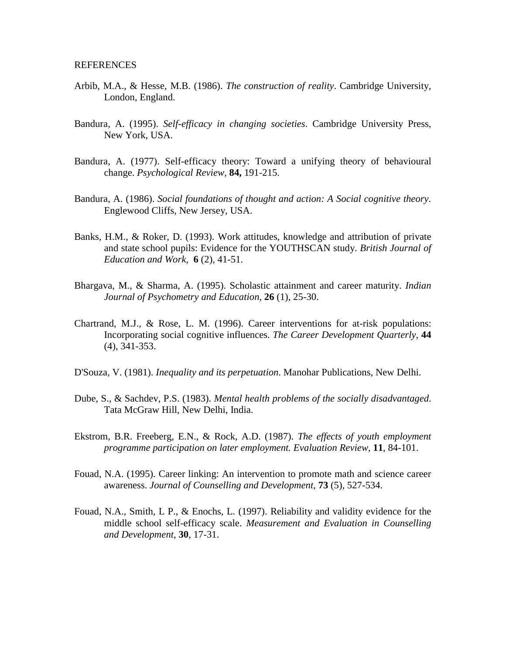## REFERENCES

- Arbib, M.A., & Hesse, M.B. (1986). *The construction of reality*. Cambridge University, London, England.
- Bandura, A. (1995). *Self-efficacy in changing societies*. Cambridge University Press, New York, USA.
- Bandura, A. (1977). Self-efficacy theory: Toward a unifying theory of behavioural change. *Psychological Review,* **84,** 191-215.
- Bandura, A. (1986). *Social foundations of thought and action: A Social cognitive theory*. Englewood Cliffs, New Jersey, USA.
- Banks, H.M., & Roker, D. (1993). Work attitudes, knowledge and attribution of private and state school pupils: Evidence for the YOUTHSCAN study. *British Journal of Education and Work,* **6** (2), 41-51.
- Bhargava, M., & Sharma, A. (1995). Scholastic attainment and career maturity. *Indian Journal of Psychometry and Education,* **26** (1), 25-30.
- Chartrand, M.J., & Rose, L. M. (1996). Career interventions for at-risk populations: Incorporating social cognitive influences. *The Career Development Quarterly*, **44** (4), 341-353.
- D'Souza, V. (1981). *Inequality and its perpetuation*. Manohar Publications, New Delhi.
- Dube, S., & Sachdev, P.S. (1983). *Mental health problems of the socially disadvantaged*. Tata McGraw Hill, New Delhi, India.
- Ekstrom, B.R. Freeberg, E.N., & Rock, A.D. (1987). *The effects of youth employment programme participation on later employment. Evaluation Review,* **11**, 84-101.
- Fouad, N.A. (1995). Career linking: An intervention to promote math and science career awareness. *Journal of Counselling and Development*, **73** (5), 527-534.
- Fouad, N.A., Smith, L P., & Enochs, L. (1997). Reliability and validity evidence for the middle school self-efficacy scale. *Measurement and Evaluation in Counselling and Development*, **30**, 17-31.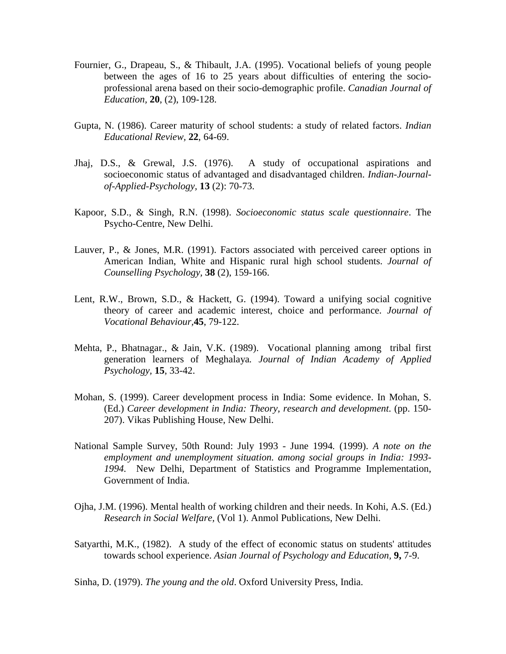- Fournier, G., Drapeau, S., & Thibault, J.A. (1995). Vocational beliefs of young people between the ages of 16 to 25 years about difficulties of entering the socioprofessional arena based on their socio-demographic profile. *Canadian Journal of Education,* **20**, (2), 109-128.
- Gupta, N. (1986). Career maturity of school students: a study of related factors. *Indian Educational Review,* **22**, 64-69.
- Jhaj, D.S., & Grewal, J.S. (1976). A study of occupational aspirations and socioeconomic status of advantaged and disadvantaged children. *Indian-Journalof-Applied-Psychology,* **13** (2): 70-73.
- Kapoor, S.D., & Singh, R.N. (1998). *Socioeconomic status scale questionnaire*. The Psycho-Centre, New Delhi.
- Lauver, P., & Jones, M.R. (1991). Factors associated with perceived career options in American Indian, White and Hispanic rural high school students. *Journal of Counselling Psychology,* **38** (2), 159-166.
- Lent, R.W., Brown, S.D., & Hackett, G. (1994). Toward a unifying social cognitive theory of career and academic interest, choice and performance. *Journal of Vocational Behaviour,***45**, 79-122.
- Mehta, P., Bhatnagar., & Jain, V.K. (1989). Vocational planning among tribal first generation learners of Meghalaya*. Journal of Indian Academy of Applied Psychology,* **15**, 33-42.
- Mohan, S. (1999). Career development process in India: Some evidence. In Mohan, S. (Ed.) *Career development in India: Theory, research and development*. (pp. 150- 207). Vikas Publishing House, New Delhi.
- National Sample Survey, 50th Round: July 1993 June 1994*.* (1999). *A note on the employment and unemployment situation. among social groups in India: 1993- 1994.* New Delhi, Department of Statistics and Programme Implementation, Government of India.
- Ojha, J.M. (1996). Mental health of working children and their needs. In Kohi, A.S. (Ed.) *Research in Social Welfare,* (Vol 1). Anmol Publications, New Delhi.
- Satyarthi, M.K., (1982). A study of the effect of economic status on students' attitudes towards school experience. *Asian Journal of Psychology and Education,* **9,** 7-9.

Sinha, D. (1979). *The young and the old*. Oxford University Press, India.